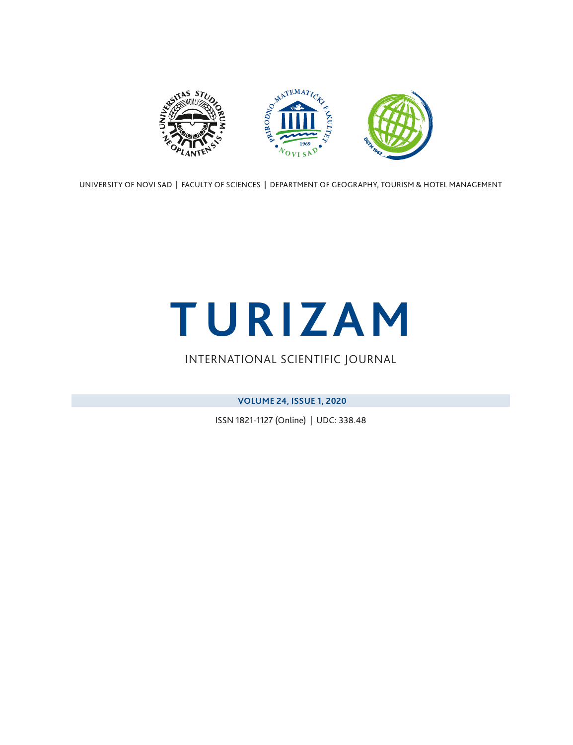<span id="page-0-0"></span>

UNIVERSITY OF NOVI SAD | FACULTY OF SCIENCES | DEPARTMENT OF GEOGRAPHY, TOURISM & HOTEL MANAGEMENT

# **TURIZAM**

### INTERNATIONAL SCIENTIFIC JOURNAL

**VOLUME 24, ISSUE 1, 2020**

ISSN 1821-1127 (Online) | UDC: 338.48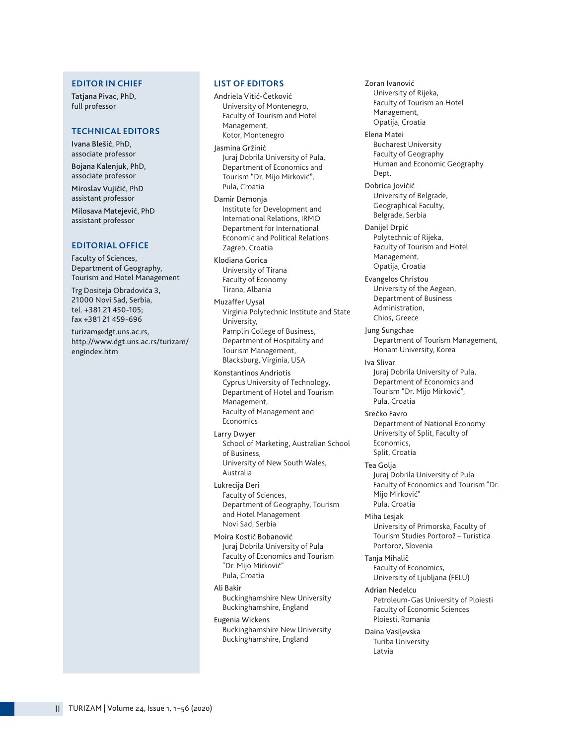#### **EDITOR IN CHIEF**

Tatjana Pivac, PhD, full professor

#### **TECHNICAL EDITORS**

Ivana Blešić, PhD, associate professor

Bojana Kalenjuk, PhD, associate professor Miroslav Vujičić, PhD assistant professor

Milosava Matejević, PhD assistant professor

#### **EDITORIAL OFFICE**

Faculty of Sciences, Department of Geography, Tourism and Hotel Management

Trg Dositeja Obradovića 3, 21000 Novi Sad, Serbia, tel. +381 21 450-105; fax +381 21 459-696

turizam@dgt.uns.ac.rs, http://www.dgt.uns.ac.rs/turizam/ engindex.htm

#### **LIST OF EDITORS**

Andriela Vitić-Ćetković University of Montenegro, Faculty of Tourism and Hotel Management, Kotor, Montenegro

Jasmina Gržinić Juraj Dobrila University of Pula, Department of Economics and Tourism "Dr. Mijo Mirković", Pula, Croatia

Damir Demonja Institute for Development and International Relations, IRMO Department for International Economic and Political Relations Zagreb, Croatia

Klodiana Gorica University of Tirana Faculty of Economy Tirana, Albania

Muzaffer Uysal Virginia Polytechnic Institute and State University, Pamplin College of Business, Department of Hospitality and Tourism Management, Blacksburg, Virginia, USA

Konstantinos Andriotis Cyprus University of Technology, Department of Hotel and Tourism Management, Faculty of Management and Economics

Larry Dwyer School of Marketing, Australian School of Business, University of New South Wales, Australia

Lukrecija Đeri Faculty of Sciences, Department of Geography, Tourism and Hotel Management Novi Sad, Serbia

Moira Kostić Bobanović Juraj Dobrila University of Pula Faculty of Economics and Tourism "Dr. Mijo Mirković" Pula, Croatia

Ali Bakir Buckinghamshire New University Buckinghamshire, England

Eugenia Wickens Buckinghamshire New University Buckinghamshire, England

Zoran Ivanović University of Rijeka, Faculty of Tourism an Hotel Management, Opatija, Croatia Elena Matei Bucharest University Faculty of Geography Human and Economic Geography Dept. Dobrica Jovičić University of Belgrade, Geographical Faculty, Belgrade, Serbia Danijel Drpić Polytechnic of Rijeka, Faculty of Tourism and Hotel Management, Opatija, Croatia Evangelos Christou University of the Aegean, Department of Business Administration, Chios, Greece Jung Sungchae Department of Tourism Management, Honam University, Korea Iva Slivar Juraj Dobrila University of Pula, Department of Economics and Tourism "Dr. Mijo Mirković", Pula, Croatia Srećko Favro Department of National Economy University of Split, Faculty of Economics, Split, Croatia Tea Golja Juraj Dobrila University of Pula Faculty of Economics and Tourism "Dr. Mijo Mirković" Pula, Croatia Miha Lesjak University of Primorska, Faculty of Tourism Studies Portorož – Turistica Portoroz, Slovenia Tanja Mihalič Faculty of Economics, University of Ljubljana (FELU) Adrian Nedelcu Petroleum-Gas University of Ploiesti Faculty of Economic Sciences Ploiesti, Romania Daina Vasiļevska Turiba University Latvia